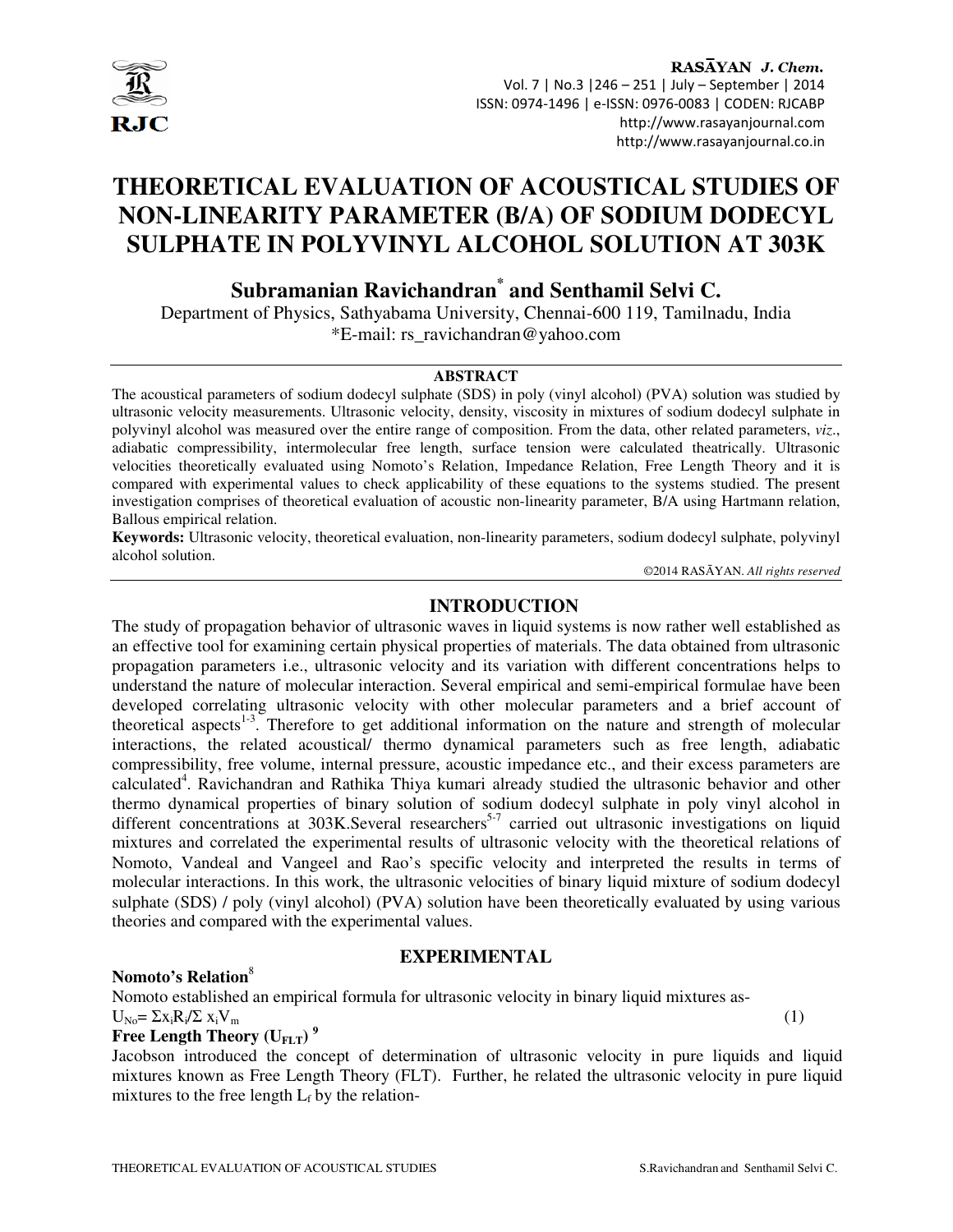

# **THEORETICAL EVALUATION OF ACOUSTICAL STUDIES OF NON-LINEARITY PARAMETER (B/A) OF SODIUM DODECYL SULPHATE IN POLYVINYL ALCOHOL SOLUTION AT 303K**

**Subramanian Ravichandran\* and Senthamil Selvi C.**

Department of Physics, Sathyabama University, Chennai-600 119, Tamilnadu, India \*E-mail: rs\_ravichandran@yahoo.com

#### **ABSTRACT**

The acoustical parameters of sodium dodecyl sulphate (SDS) in poly (vinyl alcohol) (PVA) solution was studied by ultrasonic velocity measurements. Ultrasonic velocity, density, viscosity in mixtures of sodium dodecyl sulphate in polyvinyl alcohol was measured over the entire range of composition. From the data, other related parameters, *viz*., adiabatic compressibility, intermolecular free length, surface tension were calculated theatrically. Ultrasonic velocities theoretically evaluated using Nomoto's Relation, Impedance Relation, Free Length Theory and it is compared with experimental values to check applicability of these equations to the systems studied. The present investigation comprises of theoretical evaluation of acoustic non-linearity parameter, B/A using Hartmann relation, Ballous empirical relation.

**Keywords:** Ultrasonic velocity, theoretical evaluation, non-linearity parameters, sodium dodecyl sulphate, polyvinyl alcohol solution.

©2014 RASĀYAN. *All rights reserved*

# **INTRODUCTION**

The study of propagation behavior of ultrasonic waves in liquid systems is now rather well established as an effective tool for examining certain physical properties of materials. The data obtained from ultrasonic propagation parameters i.e., ultrasonic velocity and its variation with different concentrations helps to understand the nature of molecular interaction. Several empirical and semi-empirical formulae have been developed correlating ultrasonic velocity with other molecular parameters and a brief account of theoretical aspects<sup>1-3</sup>. Therefore to get additional information on the nature and strength of molecular interactions, the related acoustical/ thermo dynamical parameters such as free length, adiabatic compressibility, free volume, internal pressure, acoustic impedance etc., and their excess parameters are calculated<sup>4</sup>. Ravichandran and Rathika Thiya kumari already studied the ultrasonic behavior and other thermo dynamical properties of binary solution of sodium dodecyl sulphate in poly vinyl alcohol in different concentrations at 303K.Several researchers<sup>5-7</sup> carried out ultrasonic investigations on liquid mixtures and correlated the experimental results of ultrasonic velocity with the theoretical relations of Nomoto, Vandeal and Vangeel and Rao's specific velocity and interpreted the results in terms of molecular interactions. In this work, the ultrasonic velocities of binary liquid mixture of sodium dodecyl sulphate (SDS) / poly (vinyl alcohol) (PVA) solution have been theoretically evaluated by using various theories and compared with the experimental values.

#### **EXPERIMENTAL**

#### **Nomoto's Relation**<sup>8</sup>

Nomoto established an empirical formula for ultrasonic velocity in binary liquid mixtures as- $U_{\text{No}} = \sum x_i R_i / \sum x_i V_{\text{m}}$  $\sqrt{\sum x_i V_m}$  (1)

# **Free Length Theory (UFLT) <sup>9</sup>**

Jacobson introduced the concept of determination of ultrasonic velocity in pure liquids and liquid mixtures known as Free Length Theory (FLT). Further, he related the ultrasonic velocity in pure liquid mixtures to the free length  $L_f$  by the relation-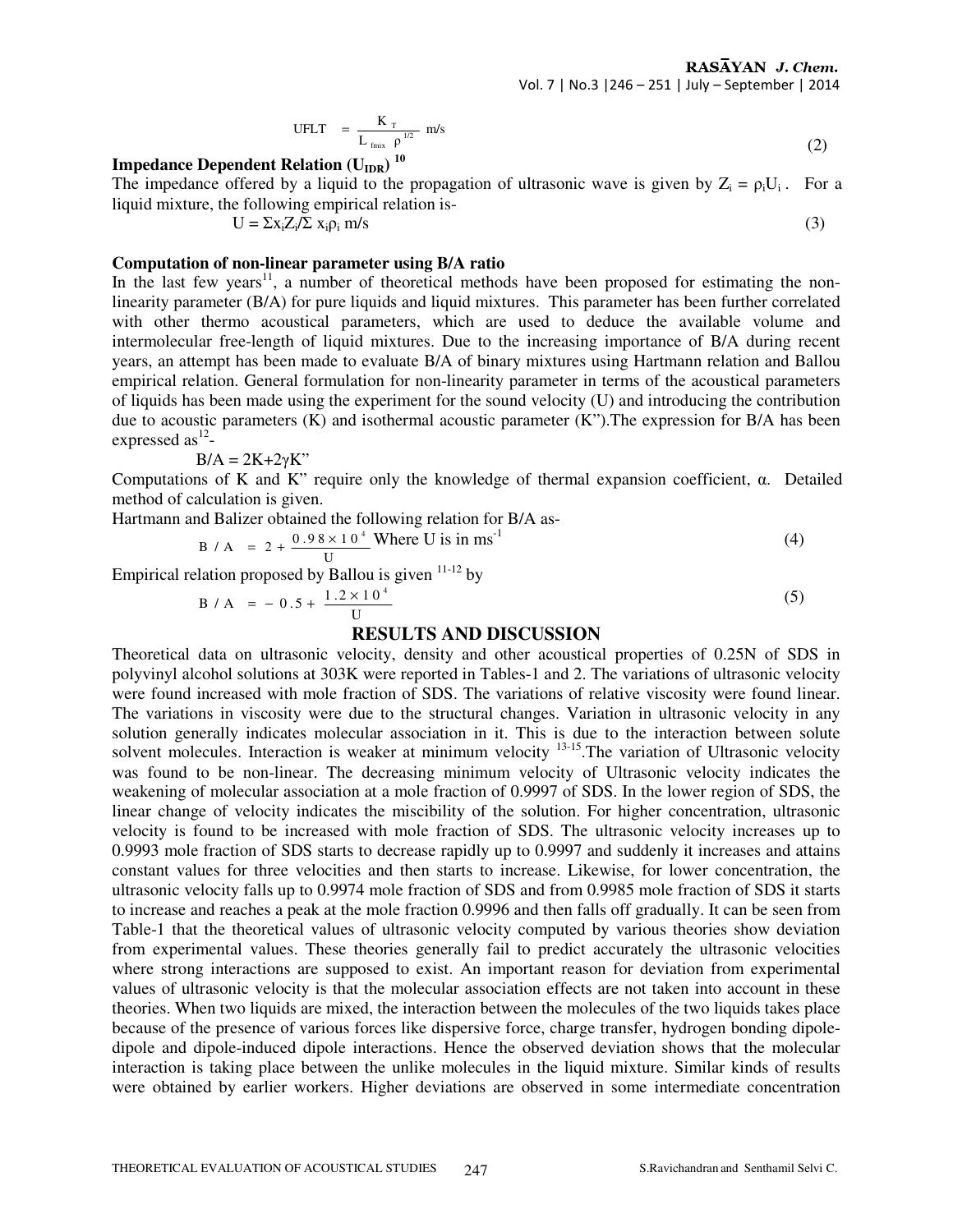$$
UFLT = \frac{K_T}{L_{\text{fmix}}} m/s
$$
 (2)

# **Impedance Dependent Relation (U<sub>IDR</sub>)<sup>10</sup>**

The impedance offered by a liquid to the propagation of ultrasonic wave is given by  $Z_i = \rho_i U_i$ . For a liquid mixture, the following empirical relation is-

$$
U = \sum x_i Z_i / \sum x_i \rho_i \, m/s \tag{3}
$$

### **Computation of non-linear parameter using B/A ratio**

In the last few years<sup>11</sup>, a number of theoretical methods have been proposed for estimating the nonlinearity parameter (B/A) for pure liquids and liquid mixtures. This parameter has been further correlated with other thermo acoustical parameters, which are used to deduce the available volume and intermolecular free-length of liquid mixtures. Due to the increasing importance of B/A during recent years, an attempt has been made to evaluate B/A of binary mixtures using Hartmann relation and Ballou empirical relation. General formulation for non-linearity parameter in terms of the acoustical parameters of liquids has been made using the experiment for the sound velocity (U) and introducing the contribution due to acoustic parameters  $(K)$  and isothermal acoustic parameter  $(K<sup>n</sup>)$ . The expression for B/A has been expressed as $^{12}$ -

$$
B/A = 2K + 2\gamma K"
$$

Computations of K and K" require only the knowledge of thermal expansion coefficient, α. Detailed method of calculation is given.

Hartmann and Balizer obtained the following relation for B/A as-

$$
B / A = 2 + \frac{0.98 \times 10^{4}}{U}
$$
 Where U is in ms<sup>-1</sup> (4)

Empirical relation proposed by Ballou is given  $11-12$  by

$$
B/A = -0.5 + \frac{1.2 \times 10^4}{U}
$$
 (5)

### **RESULTS AND DISCUSSION**

Theoretical data on ultrasonic velocity, density and other acoustical properties of 0.25N of SDS in polyvinyl alcohol solutions at 303K were reported in Tables-1 and 2. The variations of ultrasonic velocity were found increased with mole fraction of SDS. The variations of relative viscosity were found linear. The variations in viscosity were due to the structural changes. Variation in ultrasonic velocity in any solution generally indicates molecular association in it. This is due to the interaction between solute solvent molecules. Interaction is weaker at minimum velocity <sup>13-15</sup>. The variation of Ultrasonic velocity was found to be non-linear. The decreasing minimum velocity of Ultrasonic velocity indicates the weakening of molecular association at a mole fraction of 0.9997 of SDS. In the lower region of SDS, the linear change of velocity indicates the miscibility of the solution. For higher concentration, ultrasonic velocity is found to be increased with mole fraction of SDS. The ultrasonic velocity increases up to 0.9993 mole fraction of SDS starts to decrease rapidly up to 0.9997 and suddenly it increases and attains constant values for three velocities and then starts to increase. Likewise, for lower concentration, the ultrasonic velocity falls up to 0.9974 mole fraction of SDS and from 0.9985 mole fraction of SDS it starts to increase and reaches a peak at the mole fraction 0.9996 and then falls off gradually. It can be seen from Table-1 that the theoretical values of ultrasonic velocity computed by various theories show deviation from experimental values. These theories generally fail to predict accurately the ultrasonic velocities where strong interactions are supposed to exist. An important reason for deviation from experimental values of ultrasonic velocity is that the molecular association effects are not taken into account in these theories. When two liquids are mixed, the interaction between the molecules of the two liquids takes place because of the presence of various forces like dispersive force, charge transfer, hydrogen bonding dipoledipole and dipole-induced dipole interactions. Hence the observed deviation shows that the molecular interaction is taking place between the unlike molecules in the liquid mixture. Similar kinds of results were obtained by earlier workers. Higher deviations are observed in some intermediate concentration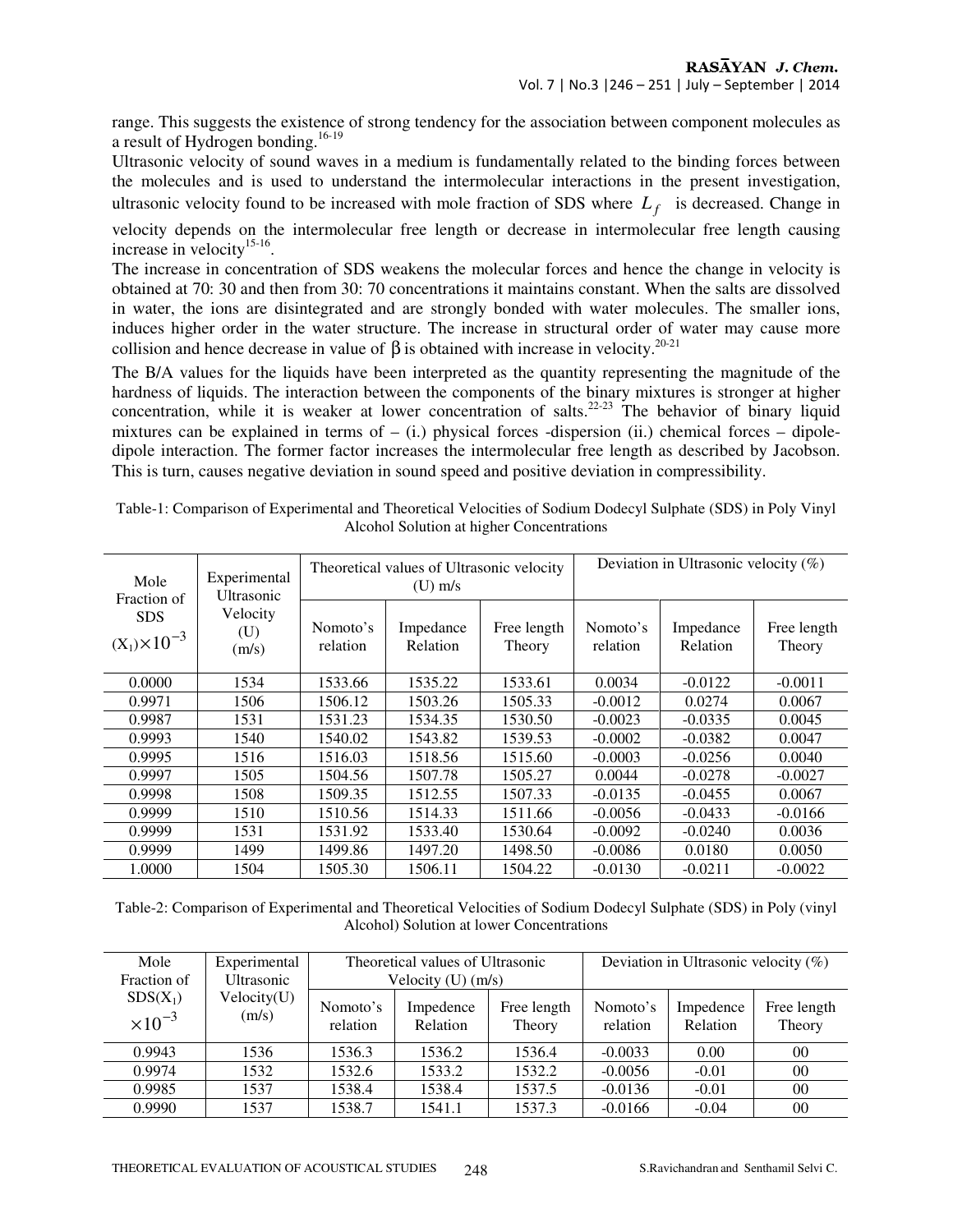range. This suggests the existence of strong tendency for the association between component molecules as a result of Hydrogen bonding.16-19 

Ultrasonic velocity of sound waves in a medium is fundamentally related to the binding forces between the molecules and is used to understand the intermolecular interactions in the present investigation, ultrasonic velocity found to be increased with mole fraction of SDS where  $L_f$  is decreased. Change in

velocity depends on the intermolecular free length or decrease in intermolecular free length causing increase in velocity<sup>15-16</sup>.

The increase in concentration of SDS weakens the molecular forces and hence the change in velocity is obtained at 70: 30 and then from 30: 70 concentrations it maintains constant. When the salts are dissolved in water, the ions are disintegrated and are strongly bonded with water molecules. The smaller ions, induces higher order in the water structure. The increase in structural order of water may cause more collision and hence decrease in value of  $\beta$  is obtained with increase in velocity.<sup>20-21</sup>

The B/A values for the liquids have been interpreted as the quantity representing the magnitude of the hardness of liquids. The interaction between the components of the binary mixtures is stronger at higher concentration, while it is weaker at lower concentration of salts.<sup>22-23</sup> The behavior of binary liquid mixtures can be explained in terms of  $-$  (i.) physical forces -dispersion (ii.) chemical forces  $-$  dipoledipole interaction. The former factor increases the intermolecular free length as described by Jacobson. This is turn, causes negative deviation in sound speed and positive deviation in compressibility.

| Mole<br>Fraction of<br><b>SDS</b><br>$(X_1) \times 10^{-3}$ | Experimental<br><b>Ultrasonic</b><br>Velocity<br>$(\mathrm{U})$<br>(m/s) |                      | Theoretical values of Ultrasonic velocity<br>$(U)$ m/s |                       | Deviation in Ultrasonic velocity $(\%)$ |                       |                       |
|-------------------------------------------------------------|--------------------------------------------------------------------------|----------------------|--------------------------------------------------------|-----------------------|-----------------------------------------|-----------------------|-----------------------|
|                                                             |                                                                          | Nomoto's<br>relation | Impedance<br><b>Relation</b>                           | Free length<br>Theory | Nomoto's<br>relation                    | Impedance<br>Relation | Free length<br>Theory |
| 0.0000                                                      | 1534                                                                     | 1533.66              | 1535.22                                                | 1533.61               | 0.0034                                  | $-0.0122$             | $-0.0011$             |
| 0.9971                                                      | 1506                                                                     | 1506.12              | 1503.26                                                | 1505.33               | $-0.0012$                               | 0.0274                | 0.0067                |
| 0.9987                                                      | 1531                                                                     | 1531.23              | 1534.35                                                | 1530.50               | $-0.0023$                               | $-0.0335$             | 0.0045                |
| 0.9993                                                      | 1540                                                                     | 1540.02              | 1543.82                                                | 1539.53               | $-0.0002$                               | $-0.0382$             | 0.0047                |
| 0.9995                                                      | 1516                                                                     | 1516.03              | 1518.56                                                | 1515.60               | $-0.0003$                               | $-0.0256$             | 0.0040                |
| 0.9997                                                      | 1505                                                                     | 1504.56              | 1507.78                                                | 1505.27               | 0.0044                                  | $-0.0278$             | $-0.0027$             |
| 0.9998                                                      | 1508                                                                     | 1509.35              | 1512.55                                                | 1507.33               | $-0.0135$                               | $-0.0455$             | 0.0067                |
| 0.9999                                                      | 1510                                                                     | 1510.56              | 1514.33                                                | 1511.66               | $-0.0056$                               | $-0.0433$             | $-0.0166$             |
| 0.9999                                                      | 1531                                                                     | 1531.92              | 1533.40                                                | 1530.64               | $-0.0092$                               | $-0.0240$             | 0.0036                |
| 0.9999                                                      | 1499                                                                     | 1499.86              | 1497.20                                                | 1498.50               | $-0.0086$                               | 0.0180                | 0.0050                |
| 1.0000                                                      | 1504                                                                     | 1505.30              | 1506.11                                                | 1504.22               | $-0.0130$                               | $-0.0211$             | $-0.0022$             |

Table-1: Comparison of Experimental and Theoretical Velocities of Sodium Dodecyl Sulphate (SDS) in Poly Vinyl Alcohol Solution at higher Concentrations

Table-2: Comparison of Experimental and Theoretical Velocities of Sodium Dodecyl Sulphate (SDS) in Poly (vinyl Alcohol) Solution at lower Concentrations

| Mole                           | Experimental         |                      | Theoretical values of Ultrasonic |                       |                      | Deviation in Ultrasonic velocity $(\%)$ |                       |
|--------------------------------|----------------------|----------------------|----------------------------------|-----------------------|----------------------|-----------------------------------------|-----------------------|
| Fraction of                    | <b>Ultrasonic</b>    |                      | Velocity $(U)$ (m/s)             |                       |                      |                                         |                       |
| $SDS(X_1)$<br>$\times 10^{-3}$ | Velocity(U)<br>(m/s) | Nomoto's<br>relation | Impedence<br>Relation            | Free length<br>Theory | Nomoto's<br>relation | Impedence<br>Relation                   | Free length<br>Theory |
| 0.9943                         | 1536                 | 1536.3               | 1536.2                           | 1536.4                | $-0.0033$            | 0.00                                    | 00                    |
| 0.9974                         | 1532                 | 1532.6               | 1533.2                           | 1532.2                | $-0.0056$            | $-0.01$                                 | $00\,$                |
| 0.9985                         | 1537                 | 1538.4               | 1538.4                           | 1537.5                | $-0.0136$            | $-0.01$                                 | $00\,$                |
| 0.9990                         | 1537                 | 1538.7               | 1541.1                           | 1537.3                | $-0.0166$            | $-0.04$                                 | $00\,$                |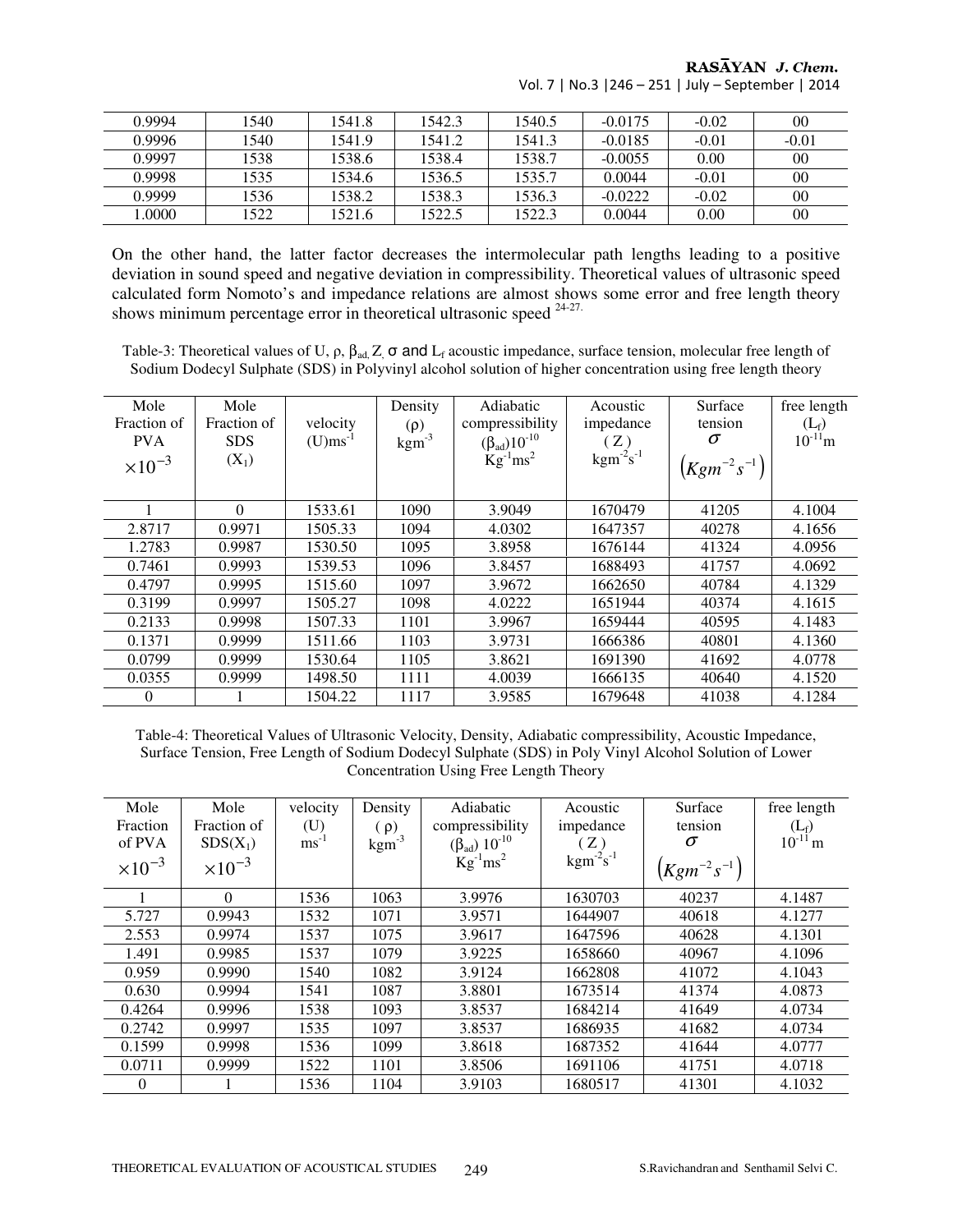| 0.9994 | 1540 | 1541.8 | 1542.3 | 1540.5 | $-0.0175$ | $-0.02$ | 00      |
|--------|------|--------|--------|--------|-----------|---------|---------|
| 0.9996 | 1540 | 1541.9 | 1541.2 | 1541.3 | $-0.0185$ | $-0.01$ | $-0.01$ |
| 0.9997 | 1538 | 1538.6 | 1538.4 | 1538.7 | $-0.0055$ | 0.00    | 00      |
| 0.9998 | 1535 | 1534.6 | 1536.5 | 1535.7 | 0.0044    | $-0.01$ | 00      |
| 0.9999 | 1536 | 1538.2 | 1538.3 | 1536.3 | $-0.0222$ | $-0.02$ | 00      |
| .0000  | 1522 | 1521.6 | 1522.5 | 1522.3 | 0.0044    | 0.00    | 00      |

RASAYAN J. Chem. Vol. 7 | No.3 |246 – 251 | July – September | 2014

On the other hand, the latter factor decreases the intermolecular path lengths leading to a positive deviation in sound speed and negative deviation in compressibility. Theoretical values of ultrasonic speed calculated form Nomoto's and impedance relations are almost shows some error and free length theory shows minimum percentage error in theoretical ultrasonic speed <sup>24-27.</sup>

Table-3: Theoretical values of U,  $\rho$ ,  $\beta_{ad}$ , Z,  $\sigma$  and L<sub>f</sub> acoustic impedance, surface tension, molecular free length of Sodium Dodecyl Sulphate (SDS) in Polyvinyl alcohol solution of higher concentration using free length theory

| Mole             | Mole        |          | Density             | Adiabatic                   | Acoustic                            | Surface            | free length             |
|------------------|-------------|----------|---------------------|-----------------------------|-------------------------------------|--------------------|-------------------------|
| Fraction of      | Fraction of | velocity | $(\rho)$            | compressibility             | impedance                           | tension            | $(L_f)$<br>$10^{-11}$ m |
| <b>PVA</b>       | <b>SDS</b>  | $(U)$ ms | $\mathrm{kgm}^{-3}$ | $(\beta_{ad})10^{-10}$      | (Z)                                 | σ                  |                         |
| $\times 10^{-3}$ | $(X_1)$     |          |                     | $\text{Kg}^{-1}\text{ms}^2$ | $\mathrm{kgm}^{-2} \mathrm{s}^{-1}$ | $(Kgm^{-2}s^{-1})$ |                         |
|                  | $\Omega$    | 1533.61  | 1090                | 3.9049                      | 1670479                             | 41205              | 4.1004                  |
| 2.8717           | 0.9971      | 1505.33  | 1094                | 4.0302                      | 1647357                             | 40278              | 4.1656                  |
| 1.2783           | 0.9987      | 1530.50  | 1095                | 3.8958                      | 1676144                             | 41324              | 4.0956                  |
| 0.7461           | 0.9993      | 1539.53  | 1096                | 3.8457                      | 1688493                             | 41757              | 4.0692                  |
| 0.4797           | 0.9995      | 1515.60  | 1097                | 3.9672                      | 1662650                             | 40784              | 4.1329                  |
| 0.3199           | 0.9997      | 1505.27  | 1098                | 4.0222                      | 1651944                             | 40374              | 4.1615                  |
| 0.2133           | 0.9998      | 1507.33  | 1101                | 3.9967                      | 1659444                             | 40595              | 4.1483                  |
| 0.1371           | 0.9999      | 1511.66  | 1103                | 3.9731                      | 1666386                             | 40801              | 4.1360                  |
| 0.0799           | 0.9999      | 1530.64  | 1105                | 3.8621                      | 1691390                             | 41692              | 4.0778                  |
| 0.0355           | 0.9999      | 1498.50  | 1111                | 4.0039                      | 1666135                             | 40640              | 4.1520                  |
| $\theta$         |             | 1504.22  | 1117                | 3.9585                      | 1679648                             | 41038              | 4.1284                  |

Table-4: Theoretical Values of Ultrasonic Velocity, Density, Adiabatic compressibility, Acoustic Impedance, Surface Tension, Free Length of Sodium Dodecyl Sulphate (SDS) in Poly Vinyl Alcohol Solution of Lower Concentration Using Free Length Theory

| Mole             | Mole             | velocity         | Density           | Adiabatic                   | Acoustic                            | Surface            | free length  |
|------------------|------------------|------------------|-------------------|-----------------------------|-------------------------------------|--------------------|--------------|
| Fraction         | Fraction of      | (U)              | $(\rho)$          | compressibility             | impedance                           | tension            | $(L_f)$      |
| of PVA           | $SDS(X_1)$       | $\text{ms}^{-1}$ | $\text{kgm}^{-3}$ | $(\beta_{ad}) 10^{-10}$     | (Z)                                 | σ                  | $10^{-11}$ m |
| $\times 10^{-3}$ | $\times 10^{-3}$ |                  |                   | $\text{Kg}^{-1}\text{ms}^2$ | $\mathrm{kgm}^{-2} \mathrm{s}^{-1}$ | $(Kgm^{-2}s^{-1})$ |              |
|                  | $\Omega$         | 1536             | 1063              | 3.9976                      | 1630703                             | 40237              | 4.1487       |
| 5.727            | 0.9943           | 1532             | 1071              | 3.9571                      | 1644907                             | 40618              | 4.1277       |
| 2.553            | 0.9974           | 1537             | 1075              | 3.9617                      | 1647596                             | 40628              | 4.1301       |
| 1.491            | 0.9985           | 1537             | 1079              | 3.9225                      | 1658660                             | 40967              | 4.1096       |
| 0.959            | 0.9990           | 1540             | 1082              | 3.9124                      | 1662808                             | 41072              | 4.1043       |
| 0.630            | 0.9994           | 1541             | 1087              | 3.8801                      | 1673514                             | 41374              | 4.0873       |
| 0.4264           | 0.9996           | 1538             | 1093              | 3.8537                      | 1684214                             | 41649              | 4.0734       |
| 0.2742           | 0.9997           | 1535             | 1097              | 3.8537                      | 1686935                             | 41682              | 4.0734       |
| 0.1599           | 0.9998           | 1536             | 1099              | 3.8618                      | 1687352                             | 41644              | 4.0777       |
| 0.0711           | 0.9999           | 1522             | 1101              | 3.8506                      | 1691106                             | 41751              | 4.0718       |
| $\theta$         |                  | 1536             | 1104              | 3.9103                      | 1680517                             | 41301              | 4.1032       |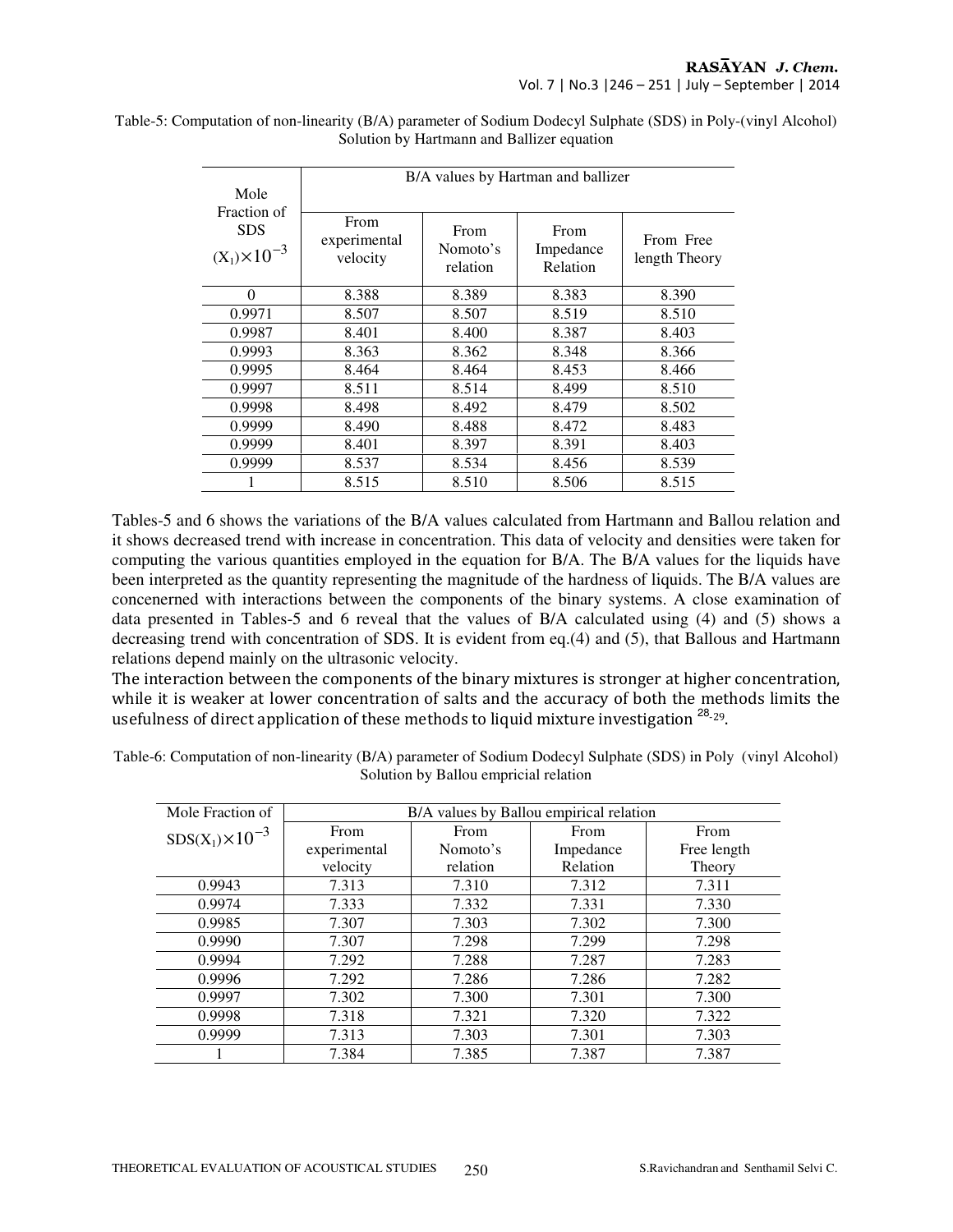| Mole                                                | B/A values by Hartman and ballizer      |                              |                               |                            |  |  |  |
|-----------------------------------------------------|-----------------------------------------|------------------------------|-------------------------------|----------------------------|--|--|--|
| Fraction of<br><b>SDS</b><br>$(X_1) \times 10^{-3}$ | <b>From</b><br>experimental<br>velocity | From<br>Nomoto's<br>relation | From<br>Impedance<br>Relation | From Free<br>length Theory |  |  |  |
| $\Omega$                                            | 8.388                                   | 8.389                        | 8.383                         | 8.390                      |  |  |  |
| 0.9971                                              | 8.507                                   | 8.507                        | 8.519                         | 8.510                      |  |  |  |
| 0.9987                                              | 8.401                                   | 8.400                        | 8.387                         | 8.403                      |  |  |  |
| 0.9993                                              | 8.363                                   | 8.362                        | 8.348                         | 8.366                      |  |  |  |
| 0.9995                                              | 8.464                                   | 8.464                        | 8.453                         | 8.466                      |  |  |  |
| 0.9997                                              | 8.511                                   | 8.514                        | 8.499                         | 8.510                      |  |  |  |
| 0.9998                                              | 8.498                                   | 8.492                        | 8.479                         | 8.502                      |  |  |  |
| 0.9999                                              | 8.490                                   | 8.488                        | 8.472                         | 8.483                      |  |  |  |
| 0.9999                                              | 8.401                                   | 8.397                        | 8.391                         | 8.403                      |  |  |  |
| 0.9999                                              | 8.537                                   | 8.534                        | 8.456                         | 8.539                      |  |  |  |
|                                                     | 8.515                                   | 8.510                        | 8.506                         | 8.515                      |  |  |  |

Table-5: Computation of non-linearity (B/A) parameter of Sodium Dodecyl Sulphate (SDS) in Poly-(vinyl Alcohol) Solution by Hartmann and Ballizer equation

Tables-5 and 6 shows the variations of the B/A values calculated from Hartmann and Ballou relation and it shows decreased trend with increase in concentration. This data of velocity and densities were taken for computing the various quantities employed in the equation for B/A. The B/A values for the liquids have been interpreted as the quantity representing the magnitude of the hardness of liquids. The B/A values are concenerned with interactions between the components of the binary systems. A close examination of data presented in Tables-5 and 6 reveal that the values of B/A calculated using (4) and (5) shows a decreasing trend with concentration of SDS. It is evident from eq.(4) and (5), that Ballous and Hartmann relations depend mainly on the ultrasonic velocity.

The interaction between the components of the binary mixtures is stronger at higher concentration, while it is weaker at lower concentration of salts and the accuracy of both the methods limits the usefulness of direct application of these methods to liquid mixture investigation <sup>28</sup>-29.

| Table-6: Computation of non-linearity (B/A) parameter of Sodium Dodecyl Sulphate (SDS) in Poly (vinyl Alcohol) |  |
|----------------------------------------------------------------------------------------------------------------|--|
| Solution by Ballou empricial relation                                                                          |  |

| Mole Fraction of          | B/A values by Ballou empirical relation |          |           |             |  |  |
|---------------------------|-----------------------------------------|----------|-----------|-------------|--|--|
| $SDS(X_1) \times 10^{-3}$ | From                                    | From     | From      | From        |  |  |
|                           | experimental                            | Nomoto's | Impedance | Free length |  |  |
|                           | velocity                                | relation | Relation  | Theory      |  |  |
| 0.9943                    | 7.313                                   | 7.310    | 7.312     | 7.311       |  |  |
| 0.9974                    | 7.333                                   | 7.332    | 7.331     | 7.330       |  |  |
| 0.9985                    | 7.307                                   | 7.303    | 7.302     | 7.300       |  |  |
| 0.9990                    | 7.307                                   | 7.298    | 7.299     | 7.298       |  |  |
| 0.9994                    | 7.292                                   | 7.288    | 7.287     | 7.283       |  |  |
| 0.9996                    | 7.292                                   | 7.286    | 7.286     | 7.282       |  |  |
| 0.9997                    | 7.302                                   | 7.300    | 7.301     | 7.300       |  |  |
| 0.9998                    | 7.318                                   | 7.321    | 7.320     | 7.322       |  |  |
| 0.9999                    | 7.313                                   | 7.303    | 7.301     | 7.303       |  |  |
|                           | 7.384                                   | 7.385    | 7.387     | 7.387       |  |  |